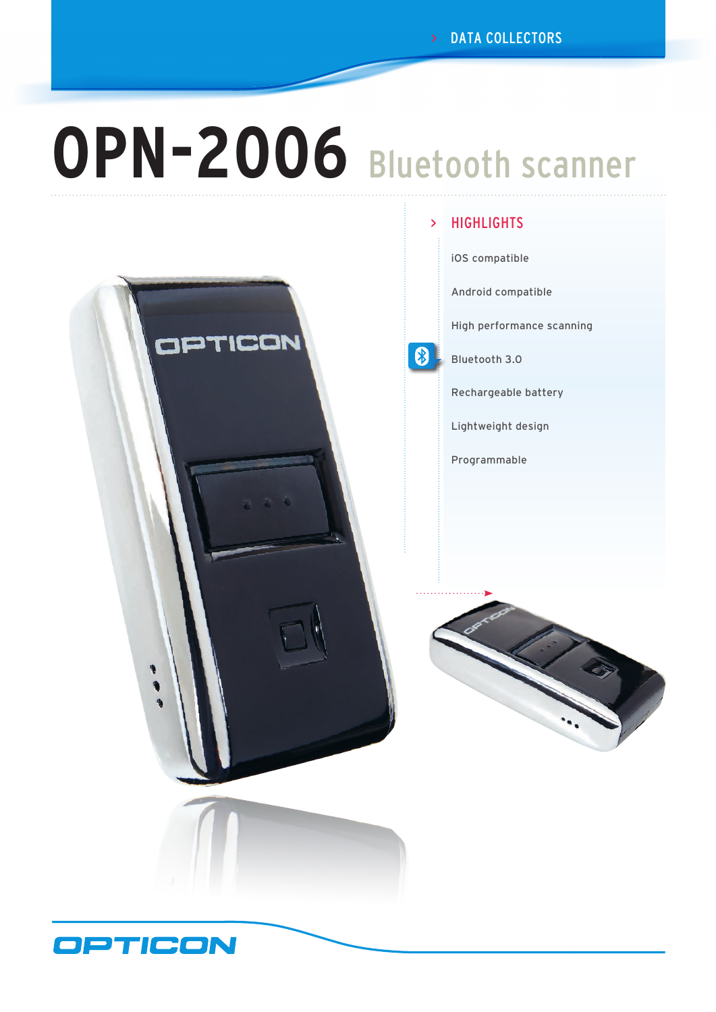# **OPN-2006** Bluetooth scanner